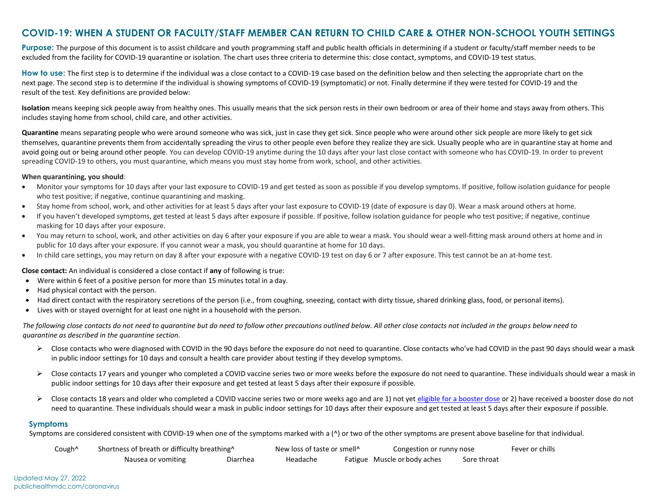## **COVID-19: WHEN A STUDENT OR FACULTY/STAFF MEMBER CAN RETURN TO CHILD CARE & OTHER NON-SCHOOL YOUTH SETTINGS**

**Purpose:** The purpose of this document is to assist childcare and youth programming staff and public health officials in determining if a student or faculty/staff member needs to be excluded from the facility for COVID-19 quarantine or isolation. The chart uses three criteria to determine this: close contact, symptoms, and COVID-19 test status.

How to use: The first step is to determine if the individual was a close contact to a COVID-19 case based on the definition below and then selecting the appropriate chart on the next page. The second step is to determine if the individual is showing symptoms of COVID-19 (symptomatic) or not. Finally determine if they were tested for COVID-19 and the result of the test. Key definitions are provided below:

**Isolation** means keeping sick people away from healthy ones. This usually means that the sick person rests in their own bedroom or area of their home and stays away from others. This includes staying home from school, child care, and other activities.

**Quarantine** means separating people who were around someone who was sick, just in case they get sick. Since people who were around other sick people are more likely to get sick themselves, quarantine prevents them from accidentally spreading the virus to other people even before they realize they are sick. Usually people who are in quarantine stay at home and avoid going out or being around other people. You can develop COVID-19 anytime during the 10 days after your last close contact with someone who has COVID-19. In order to prevent spreading COVID-19 to others, you must quarantine, which means you must stay home from work, school, and other activities.

#### **When quarantining, you should**:

- Monitor your symptoms for 10 days after your last exposure to COVID-19 and get tested as soon as possible if you develop symptoms. If positive, follow isolation guidance for people who test positive; if negative, continue quarantining and masking.
- Stay home from school, work, and other activities for at least 5 days after your last exposure to COVID-19 (date of exposure is day 0). Wear a mask around others at home.
- If you haven't developed symptoms, get tested at least 5 days after exposure if possible. If positive, follow isolation guidance for people who test positive; if negative, continue masking for 10 days after your exposure.
- You may return to school, work, and other activities on day 6 after your exposure if you are able to wear a mask. You should wear a well-fitting mask around others at home and in public for 10 days after your exposure. If you cannot wear a mask, you should quarantine at home for 10 days.
- In child care settings, you may return on day 8 after your exposure with a negative COVID-19 test on day 6 or 7 after exposure. This test cannot be an at-home test.

### **Close contact:** An individual is considered a close contact if **any** of following is true:

- Were within 6 feet of a positive person for more than 15 minutes total in a day.
- Had physical contact with the person.
- Had direct contact with the respiratory secretions of the person (i.e., from coughing, sneezing, contact with dirty tissue, shared drinking glass, food, or personal items).
- Lives with or stayed overnight for at least one night in a household with the person.

*The following close contacts do not need to quarantine but do need to follow other precautions outlined below. All other close contacts not included in the groups below need to quarantine as described in the quarantine section.*

- $\triangleright$  Close contacts who were diagnosed with COVID in the 90 days before the exposure do not need to quarantine. Close contacts who've had COVID in the past 90 days should wear a mask in public indoor settings for 10 days and consult a health care provider about testing if they develop symptoms.
- $\triangleright$  Close contacts 17 years and younger who completed a COVID vaccine series two or more weeks before the exposure do not need to quarantine. These individuals should wear a mask in public indoor settings for 10 days after their exposure and get tested at least 5 days after their exposure if possible.
- ▶ Close contacts 18 years and older who completed a COVID vaccine series two or more weeks ago and are 1) not ye[t eligible for a booster dose](https://www.cdc.gov/coronavirus/2019-ncov/vaccines/booster-shot.html) or 2) have received a booster dose do not need to quarantine. These individuals should wear a mask in public indoor settings for 10 days after their exposure and get tested at least 5 days after their exposure if possible.

### **Symptoms**

Symptoms are considered consistent with COVID-19 when one of the symptoms marked with a (^) or two of the other symptoms are present above baseline for that individual.

| Cough <sup>^</sup> | Shortness of breath or difficulty breathing^ |          | New loss of taste or smell <sup>^</sup> |  | Congestion or runny nose     |             | Fever or chills |
|--------------------|----------------------------------------------|----------|-----------------------------------------|--|------------------------------|-------------|-----------------|
|                    | Nausea or vomiting                           | Diarrhea | Headache                                |  | Fatigue Muscle or body aches | Sore throat |                 |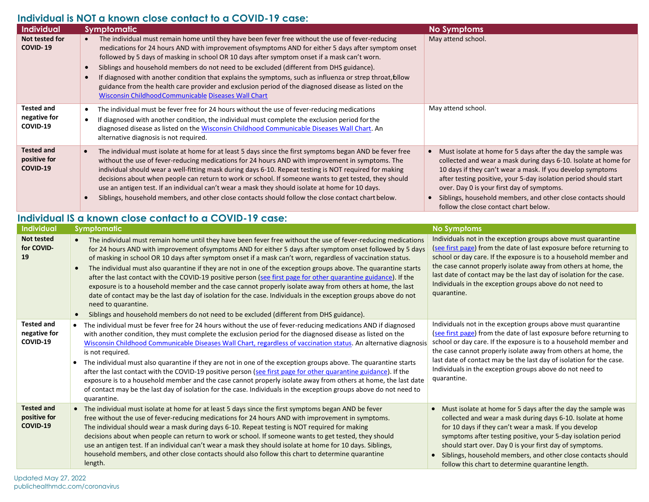# **Individual is NOT a known close contact to a COVID-19 case:**

| Individual                                              | Symptomatic                                                                                                                                                                                                                                                                                                                                                                                                                                                                                                                                                                                                                                                                                                                                                                                                                                                                                                                                       | <b>No Symptoms</b>                                                                                                                                                                                                                                                                                                                                                                                                                       |  |  |  |  |  |
|---------------------------------------------------------|---------------------------------------------------------------------------------------------------------------------------------------------------------------------------------------------------------------------------------------------------------------------------------------------------------------------------------------------------------------------------------------------------------------------------------------------------------------------------------------------------------------------------------------------------------------------------------------------------------------------------------------------------------------------------------------------------------------------------------------------------------------------------------------------------------------------------------------------------------------------------------------------------------------------------------------------------|------------------------------------------------------------------------------------------------------------------------------------------------------------------------------------------------------------------------------------------------------------------------------------------------------------------------------------------------------------------------------------------------------------------------------------------|--|--|--|--|--|
| Not tested for<br><b>COVID-19</b>                       | • The individual must remain home until they have been fever free without the use of fever-reducing<br>medications for 24 hours AND with improvement of symptoms AND for either 5 days after symptom onset<br>followed by 5 days of masking in school OR 10 days after symptom onset if a mask can't worn.<br>Siblings and household members do not need to be excluded (different from DHS guidance).<br>$\bullet$<br>If diagnosed with another condition that explains the symptoms, such as influenza or strep throat, bllow<br>$\bullet$<br>guidance from the health care provider and exclusion period of the diagnosed disease as listed on the<br>Wisconsin Childhood Communicable Diseases Wall Chart                                                                                                                                                                                                                                     | May attend school.                                                                                                                                                                                                                                                                                                                                                                                                                       |  |  |  |  |  |
| <b>Tested and</b><br>negative for<br>COVID-19           | The individual must be fever free for 24 hours without the use of fever-reducing medications<br>$\bullet$<br>If diagnosed with another condition, the individual must complete the exclusion period for the<br>$\bullet$<br>diagnosed disease as listed on the Wisconsin Childhood Communicable Diseases Wall Chart. An<br>alternative diagnosis is not required.                                                                                                                                                                                                                                                                                                                                                                                                                                                                                                                                                                                 | May attend school.                                                                                                                                                                                                                                                                                                                                                                                                                       |  |  |  |  |  |
| <b>Tested and</b><br>positive for<br>COVID-19           | The individual must isolate at home for at least 5 days since the first symptoms began AND be fever free<br>$\bullet$<br>without the use of fever-reducing medications for 24 hours AND with improvement in symptoms. The<br>individual should wear a well-fitting mask during days 6-10. Repeat testing is NOT required for making<br>decisions about when people can return to work or school. If someone wants to get tested, they should<br>use an antigen test. If an individual can't wear a mask they should isolate at home for 10 days.<br>Siblings, household members, and other close contacts should follow the close contact chart below.<br>$\bullet$                                                                                                                                                                                                                                                                               | • Must isolate at home for 5 days after the day the sample was<br>collected and wear a mask during days 6-10. Isolate at home for<br>10 days if they can't wear a mask. If you develop symptoms<br>after testing positive, your 5-day isolation period should start<br>over. Day 0 is your first day of symptoms.<br>• Siblings, household members, and other close contacts should<br>follow the close contact chart below.             |  |  |  |  |  |
| Individual IS a known close contact to a COVID-19 case: |                                                                                                                                                                                                                                                                                                                                                                                                                                                                                                                                                                                                                                                                                                                                                                                                                                                                                                                                                   |                                                                                                                                                                                                                                                                                                                                                                                                                                          |  |  |  |  |  |
| Individual                                              | Symptomatic                                                                                                                                                                                                                                                                                                                                                                                                                                                                                                                                                                                                                                                                                                                                                                                                                                                                                                                                       | <b>No Symptoms</b>                                                                                                                                                                                                                                                                                                                                                                                                                       |  |  |  |  |  |
| <b>Not tested</b><br>for COVID-<br>19                   | • The individual must remain home until they have been fever free without the use of fever-reducing medications<br>for 24 hours AND with improvement ofsymptoms AND for either 5 days after symptom onset followed by 5 days<br>of masking in school OR 10 days after symptom onset if a mask can't worn, regardless of vaccination status.<br>The individual must also quarantine if they are not in one of the exception groups above. The quarantine starts<br>after the last contact with the COVID-19 positive person (see first page for other quarantine guidance). If the<br>exposure is to a household member and the case cannot properly isolate away from others at home, the last<br>date of contact may be the last day of isolation for the case. Individuals in the exception groups above do not<br>need to quarantine.<br>Siblings and household members do not need to be excluded (different from DHS guidance).<br>$\bullet$ | Individuals not in the exception groups above must quarantine<br>(see first page) from the date of last exposure before returning to<br>school or day care. If the exposure is to a household member and<br>the case cannot properly isolate away from others at home, the<br>last date of contact may be the last day of isolation for the case.<br>Individuals in the exception groups above do not need to<br>quarantine.             |  |  |  |  |  |
| <b>Tested and</b><br>negative for<br>COVID-19           | The individual must be fever free for 24 hours without the use of fever-reducing medications AND if diagnosed<br>with another condition, they must complete the exclusion period for the diagnosed disease as listed on the<br>Wisconsin Childhood Communicable Diseases Wall Chart, regardless of vaccination status. An alternative diagnosis<br>is not required.<br>• The individual must also quarantine if they are not in one of the exception groups above. The quarantine starts<br>after the last contact with the COVID-19 positive person (see first page for other quarantine guidance). If the<br>exposure is to a household member and the case cannot properly isolate away from others at home, the last date<br>of contact may be the last day of isolation for the case. Individuals in the exception groups above do not need to<br>quarantine.                                                                                | Individuals not in the exception groups above must quarantine<br>(see first page) from the date of last exposure before returning to<br>school or day care. If the exposure is to a household member and<br>the case cannot properly isolate away from others at home, the<br>last date of contact may be the last day of isolation for the case.<br>Individuals in the exception groups above do not need to<br>quarantine.             |  |  |  |  |  |
| <b>Tested and</b><br>positive for<br><b>COVID-19</b>    | • The individual must isolate at home for at least 5 days since the first symptoms began AND be fever<br>free without the use of fever-reducing medications for 24 hours AND with improvement in symptoms.<br>The individual should wear a mask during days 6-10. Repeat testing is NOT required for making<br>decisions about when people can return to work or school. If someone wants to get tested, they should<br>use an antigen test. If an individual can't wear a mask they should isolate at home for 10 days. Siblings,<br>household members, and other close contacts should also follow this chart to determine quarantine<br>length.                                                                                                                                                                                                                                                                                                | • Must isolate at home for 5 days after the day the sample was<br>collected and wear a mask during days 6-10. Isolate at home<br>for 10 days if they can't wear a mask. If you develop<br>symptoms after testing positive, your 5-day isolation period<br>should start over. Day 0 is your first day of symptoms.<br>• Siblings, household members, and other close contacts should<br>follow this chart to determine quarantine length. |  |  |  |  |  |